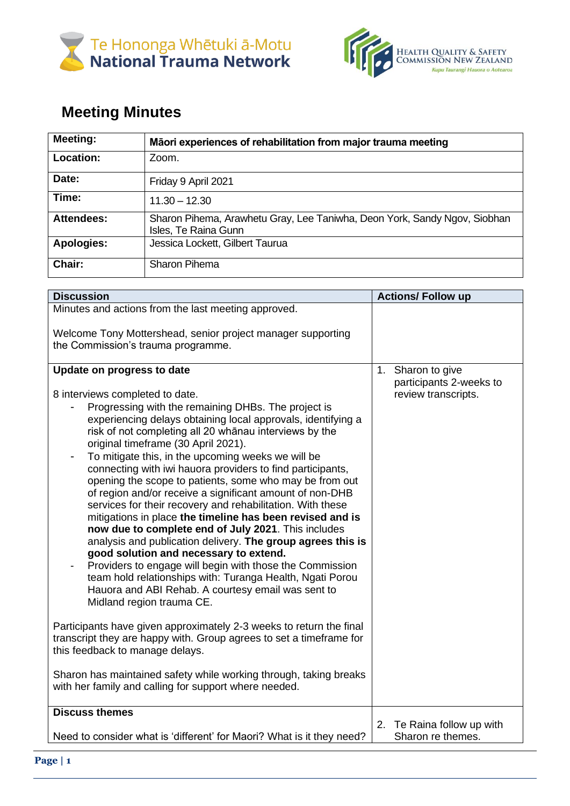



## **Meeting Minutes**

| <b>Meeting:</b>   | Māori experiences of rehabilitation from major trauma meeting                                     |
|-------------------|---------------------------------------------------------------------------------------------------|
| Location:         | Zoom.                                                                                             |
| Date:             | Friday 9 April 2021                                                                               |
| Time:             | $11.30 - 12.30$                                                                                   |
| <b>Attendees:</b> | Sharon Pihema, Arawhetu Gray, Lee Taniwha, Deon York, Sandy Ngov, Siobhan<br>Isles, Te Raina Gunn |
| <b>Apologies:</b> | Jessica Lockett, Gilbert Taurua                                                                   |
| Chair:            | <b>Sharon Pihema</b>                                                                              |

| <b>Discussion</b>                                                                                                                                                                                                                                                                                                                                                                                                                                                                                                                                                                                                                                                                                                                                                                                                                                                                                                                                                                                                                                                                                                                                                                                                                                                                                                                                      | <b>Actions/ Follow up</b>                                              |
|--------------------------------------------------------------------------------------------------------------------------------------------------------------------------------------------------------------------------------------------------------------------------------------------------------------------------------------------------------------------------------------------------------------------------------------------------------------------------------------------------------------------------------------------------------------------------------------------------------------------------------------------------------------------------------------------------------------------------------------------------------------------------------------------------------------------------------------------------------------------------------------------------------------------------------------------------------------------------------------------------------------------------------------------------------------------------------------------------------------------------------------------------------------------------------------------------------------------------------------------------------------------------------------------------------------------------------------------------------|------------------------------------------------------------------------|
| Minutes and actions from the last meeting approved.                                                                                                                                                                                                                                                                                                                                                                                                                                                                                                                                                                                                                                                                                                                                                                                                                                                                                                                                                                                                                                                                                                                                                                                                                                                                                                    |                                                                        |
| Welcome Tony Mottershead, senior project manager supporting<br>the Commission's trauma programme.                                                                                                                                                                                                                                                                                                                                                                                                                                                                                                                                                                                                                                                                                                                                                                                                                                                                                                                                                                                                                                                                                                                                                                                                                                                      |                                                                        |
| Update on progress to date<br>8 interviews completed to date.<br>Progressing with the remaining DHBs. The project is<br>experiencing delays obtaining local approvals, identifying a<br>risk of not completing all 20 whanau interviews by the<br>original timeframe (30 April 2021).<br>To mitigate this, in the upcoming weeks we will be<br>connecting with iwi hauora providers to find participants,<br>opening the scope to patients, some who may be from out<br>of region and/or receive a significant amount of non-DHB<br>services for their recovery and rehabilitation. With these<br>mitigations in place the timeline has been revised and is<br>now due to complete end of July 2021. This includes<br>analysis and publication delivery. The group agrees this is<br>good solution and necessary to extend.<br>Providers to engage will begin with those the Commission<br>team hold relationships with: Turanga Health, Ngati Porou<br>Hauora and ABI Rehab. A courtesy email was sent to<br>Midland region trauma CE.<br>Participants have given approximately 2-3 weeks to return the final<br>transcript they are happy with. Group agrees to set a timeframe for<br>this feedback to manage delays.<br>Sharon has maintained safety while working through, taking breaks<br>with her family and calling for support where needed. | Sharon to give<br>1.<br>participants 2-weeks to<br>review transcripts. |
| <b>Discuss themes</b>                                                                                                                                                                                                                                                                                                                                                                                                                                                                                                                                                                                                                                                                                                                                                                                                                                                                                                                                                                                                                                                                                                                                                                                                                                                                                                                                  |                                                                        |
| Need to consider what is 'different' for Maori? What is it they need?                                                                                                                                                                                                                                                                                                                                                                                                                                                                                                                                                                                                                                                                                                                                                                                                                                                                                                                                                                                                                                                                                                                                                                                                                                                                                  | 2. Te Raina follow up with<br>Sharon re themes.                        |